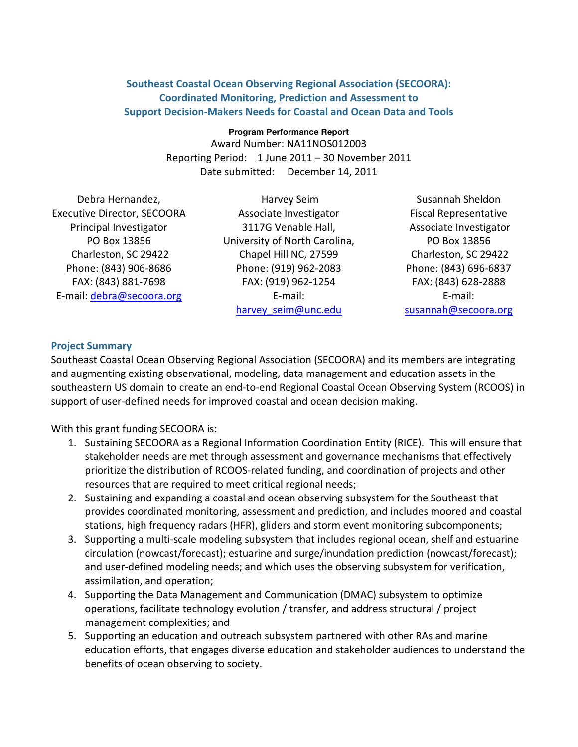## **Southeast Coastal Ocean Observing Regional Association (SECOORA): Coordinated Monitoring, Prediction and Assessment to Support Decision-Makers Needs for Coastal and Ocean Data and Tools**

#### **Program Performance Report**

Award Number: NA11NOS012003 Reporting Period: 1 June 2011 - 30 November 2011 Date submitted: December 14, 2011

Debra Hernandez. Executive Director, SECOORA Principal Investigator PO Box 13856 Charleston, SC 29422 Phone: (843) 906-8686 FAX: (843) 881-7698 E-mail: debra@secoora.org

Harvey Seim Associate Investigator 3117G Venable Hall, University of North Carolina, Chapel Hill NC, 27599 Phone: (919) 962-2083 FAX: (919) 962-1254 E-mail: harvey seim@unc.edu

Susannah&Sheldon Fiscal Representative Associate Investigator PO Box 13856 Charleston, SC 29422 Phone: (843) 696-6837 FAX: (843) 628-2888 E-mail: susannah@secoora.org

## **Project Summary**

Southeast Coastal Ocean Observing Regional Association (SECOORA) and its members are integrating and augmenting existing observational, modeling, data management and education assets in the southeastern US domain to create an end-to-end Regional Coastal Ocean Observing System (RCOOS) in support of user-defined needs for improved coastal and ocean decision making.

With this grant funding SECOORA is:

- 1. Sustaining SECOORA as a Regional Information Coordination Entity (RICE). This will ensure that stakeholder needs are met through assessment and governance mechanisms that effectively prioritize the distribution of RCOOS-related funding, and coordination of projects and other resources that are required to meet critical regional needs;
- 2. Sustaining and expanding a coastal and ocean observing subsystem for the Southeast that provides coordinated monitoring, assessment and prediction, and includes moored and coastal stations, high frequency radars (HFR), gliders and storm event monitoring subcomponents;
- 3. Supporting a multi-scale modeling subsystem that includes regional ocean, shelf and estuarine circulation (nowcast/forecast); estuarine and surge/inundation prediction (nowcast/forecast); and user-defined modeling needs; and which uses the observing subsystem for verification, assimilation, and operation;
- 4. Supporting the Data Management and Communication (DMAC) subsystem to optimize operations, facilitate technology evolution / transfer, and address structural / project management complexities; and
- 5. Supporting an education and outreach subsystem partnered with other RAs and marine education efforts, that engages diverse education and stakeholder audiences to understand the benefits of ocean observing to society.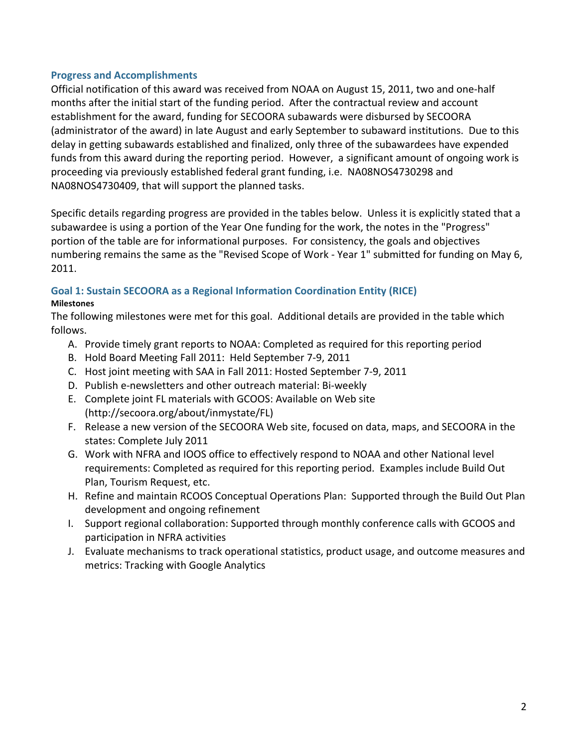## **Progress and Accomplishments**

Official notification of this award was received from NOAA on August 15, 2011, two and one-half months after the initial start of the funding period. After the contractual review and account establishment for the award, funding for SECOORA subawards were disbursed by SECOORA (administrator of the award) in late August and early September to subaward institutions. Due to this delay in getting subawards established and finalized, only three of the subawardees have expended funds from this award during the reporting period. However, a significant amount of ongoing work is proceeding via previously established federal grant funding, i.e. NA08NOS4730298 and NA08NOS4730409, that will support the planned tasks.

Specific details regarding progress are provided in the tables below. Unless it is explicitly stated that a subawardee is using a portion of the Year One funding for the work, the notes in the "Progress" portion of the table are for informational purposes. For consistency, the goals and objectives numbering remains the same as the "Revised Scope of Work - Year 1" submitted for funding on May 6, 2011.

# **Goal 1: Sustain SECOORA as a Regional Information Coordination Entity (RICE)**

#### **Milestones**

The following milestones were met for this goal. Additional details are provided in the table which follows.

- A. Provide timely grant reports to NOAA: Completed as required for this reporting period
- B. Hold Board Meeting Fall 2011: Held September 7-9, 2011
- C. Host joint meeting with SAA in Fall 2011: Hosted September 7-9, 2011
- D. Publish e-newsletters and other outreach material: Bi-weekly
- E. Complete joint FL materials with GCOOS: Available on Web site (http://secoora.org/about/inmystate/FL)
- F. Release a new version of the SECOORA Web site, focused on data, maps, and SECOORA in the states: Complete July 2011
- G. Work with NFRA and IOOS office to effectively respond to NOAA and other National level requirements: Completed as required for this reporting period. Examples include Build Out Plan, Tourism Request, etc.
- H. Refine and maintain RCOOS Conceptual Operations Plan: Supported through the Build Out Plan development and ongoing refinement
- I. Support regional collaboration: Supported through monthly conference calls with GCOOS and participation in NFRA activities
- J. Evaluate mechanisms to track operational statistics, product usage, and outcome measures and metrics: Tracking with Google Analytics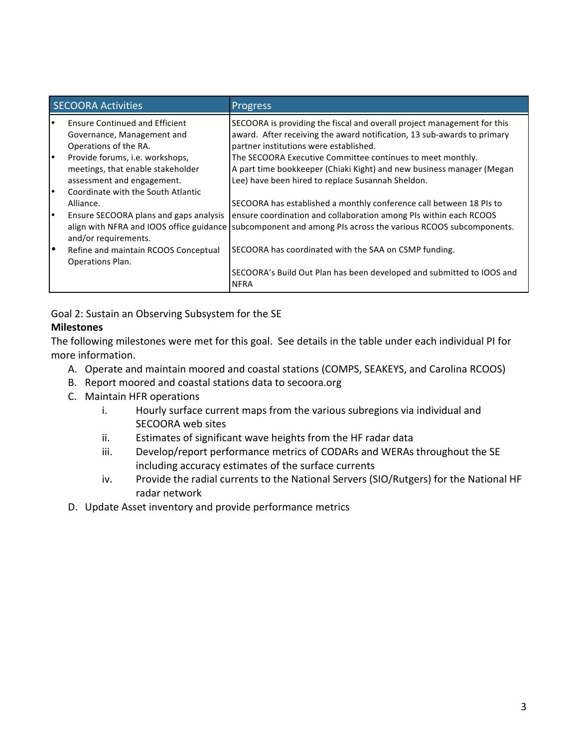|           | <b>SECOORA Activities</b>             | <b>Progress</b>                                                                                             |
|-----------|---------------------------------------|-------------------------------------------------------------------------------------------------------------|
| $\bullet$ | <b>Ensure Continued and Efficient</b> | SECOORA is providing the fiscal and overall project management for this                                     |
|           | Governance, Management and            | award. After receiving the award notification, 13 sub-awards to primary                                     |
|           | Operations of the RA.                 | partner institutions were established.                                                                      |
| $\bullet$ | Provide forums, i.e. workshops,       | The SECOORA Executive Committee continues to meet monthly.                                                  |
|           | meetings, that enable stakeholder     | A part time bookkeeper (Chiaki Kight) and new business manager (Megan                                       |
|           | assessment and engagement.            | Lee) have been hired to replace Susannah Sheldon.                                                           |
| $\bullet$ | Coordinate with the South Atlantic    |                                                                                                             |
|           | Alliance.                             | SECOORA has established a monthly conference call between 18 PIs to                                         |
| $\bullet$ |                                       | Ensure SECOORA plans and gaps analysis   ensure coordination and collaboration among PIs within each RCOOS  |
|           | and/or requirements.                  | align with NFRA and IOOS office guidance subcomponent and among PIs across the various RCOOS subcomponents. |
| ∣•        | Refine and maintain RCOOS Conceptual  | SECOORA has coordinated with the SAA on CSMP funding.                                                       |
|           | <b>Operations Plan.</b>               |                                                                                                             |
|           |                                       | SECOORA's Build Out Plan has been developed and submitted to IOOS and<br><b>NFRA</b>                        |

Goal 2: Sustain an Observing Subsystem for the SE

# **Milestones**

The following milestones were met for this goal. See details in the table under each individual PI for more information.

- A. Operate and maintain moored and coastal stations (COMPS, SEAKEYS, and Carolina RCOOS)
- B. Report moored and coastal stations data to secoora.org
- C. Maintain HFR operations
	- i. Hourly surface current maps from the various subregions via individual and SECOORA web sites
	- ii. Estimates of significant wave heights from the HF radar data
	- iii. Develop/report performance metrics of CODARs and WERAs throughout the SE including accuracy estimates of the surface currents
	- iv. Provide the radial currents to the National Servers (SIO/Rutgers) for the National HF radar network
- D. Update Asset inventory and provide performance metrics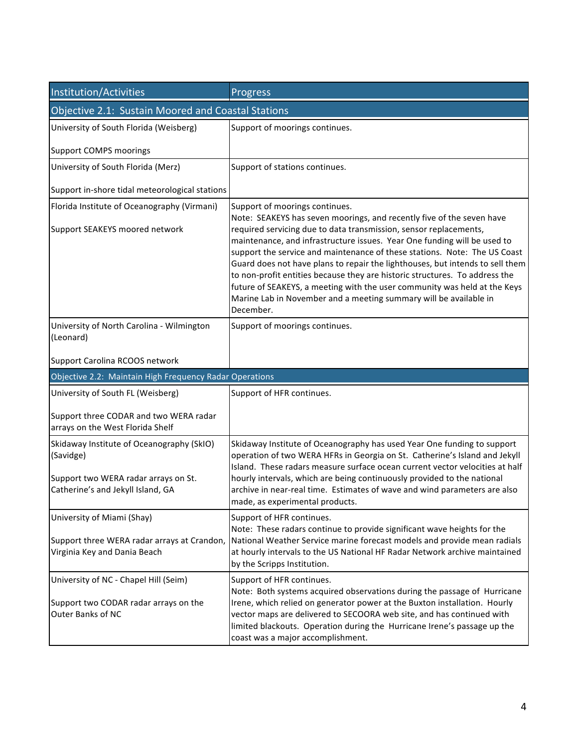| Institution/Activities                                                        | <b>Progress</b>                                                                                                                                                                                                                                                                                                                                                                                          |  |
|-------------------------------------------------------------------------------|----------------------------------------------------------------------------------------------------------------------------------------------------------------------------------------------------------------------------------------------------------------------------------------------------------------------------------------------------------------------------------------------------------|--|
| Objective 2.1: Sustain Moored and Coastal Stations                            |                                                                                                                                                                                                                                                                                                                                                                                                          |  |
| University of South Florida (Weisberg)                                        | Support of moorings continues.                                                                                                                                                                                                                                                                                                                                                                           |  |
| <b>Support COMPS moorings</b>                                                 |                                                                                                                                                                                                                                                                                                                                                                                                          |  |
| University of South Florida (Merz)                                            | Support of stations continues.                                                                                                                                                                                                                                                                                                                                                                           |  |
| Support in-shore tidal meteorological stations                                |                                                                                                                                                                                                                                                                                                                                                                                                          |  |
| Florida Institute of Oceanography (Virmani)<br>Support SEAKEYS moored network | Support of moorings continues.<br>Note: SEAKEYS has seven moorings, and recently five of the seven have<br>required servicing due to data transmission, sensor replacements,<br>maintenance, and infrastructure issues. Year One funding will be used to                                                                                                                                                 |  |
|                                                                               | support the service and maintenance of these stations. Note: The US Coast<br>Guard does not have plans to repair the lighthouses, but intends to sell them<br>to non-profit entities because they are historic structures. To address the<br>future of SEAKEYS, a meeting with the user community was held at the Keys<br>Marine Lab in November and a meeting summary will be available in<br>December. |  |
| University of North Carolina - Wilmington<br>(Leonard)                        | Support of moorings continues.                                                                                                                                                                                                                                                                                                                                                                           |  |
| Support Carolina RCOOS network                                                |                                                                                                                                                                                                                                                                                                                                                                                                          |  |
| Objective 2.2: Maintain High Frequency Radar Operations                       |                                                                                                                                                                                                                                                                                                                                                                                                          |  |
| University of South FL (Weisberg)                                             | Support of HFR continues.                                                                                                                                                                                                                                                                                                                                                                                |  |
| Support three CODAR and two WERA radar<br>arrays on the West Florida Shelf    |                                                                                                                                                                                                                                                                                                                                                                                                          |  |
| Skidaway Institute of Oceanography (SkIO)<br>(Savidge)                        | Skidaway Institute of Oceanography has used Year One funding to support<br>operation of two WERA HFRs in Georgia on St. Catherine's Island and Jekyll<br>Island. These radars measure surface ocean current vector velocities at half                                                                                                                                                                    |  |
| Support two WERA radar arrays on St.<br>Catherine's and Jekyll Island, GA     | hourly intervals, which are being continuously provided to the national<br>archive in near-real time. Estimates of wave and wind parameters are also<br>made, as experimental products.                                                                                                                                                                                                                  |  |
| University of Miami (Shay)                                                    | Support of HFR continues.<br>Note: These radars continue to provide significant wave heights for the                                                                                                                                                                                                                                                                                                     |  |
| Support three WERA radar arrays at Crandon,<br>Virginia Key and Dania Beach   | National Weather Service marine forecast models and provide mean radials<br>at hourly intervals to the US National HF Radar Network archive maintained<br>by the Scripps Institution.                                                                                                                                                                                                                    |  |
| University of NC - Chapel Hill (Seim)                                         | Support of HFR continues.<br>Note: Both systems acquired observations during the passage of Hurricane                                                                                                                                                                                                                                                                                                    |  |
| Support two CODAR radar arrays on the<br>Outer Banks of NC                    | Irene, which relied on generator power at the Buxton installation. Hourly<br>vector maps are delivered to SECOORA web site, and has continued with<br>limited blackouts. Operation during the Hurricane Irene's passage up the<br>coast was a major accomplishment.                                                                                                                                      |  |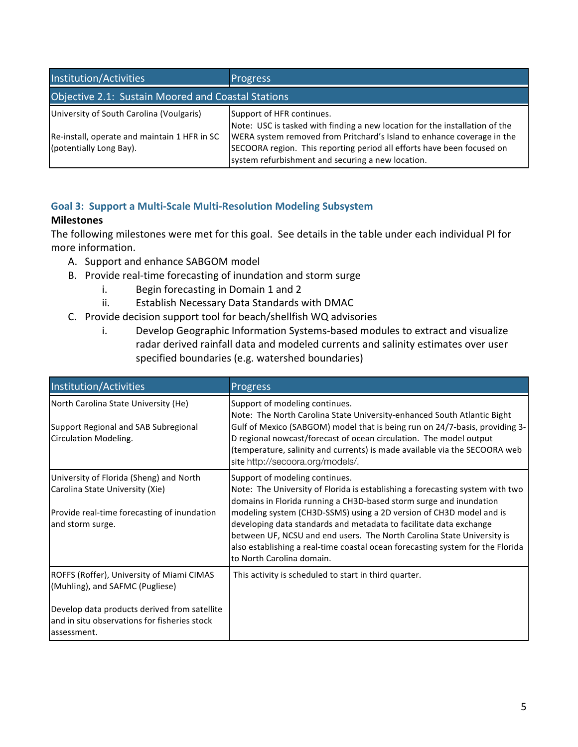| Institution/Activities                                                  | <b>Progress</b>                                                                                                                                                                                       |  |
|-------------------------------------------------------------------------|-------------------------------------------------------------------------------------------------------------------------------------------------------------------------------------------------------|--|
| Objective 2.1: Sustain Moored and Coastal Stations                      |                                                                                                                                                                                                       |  |
| University of South Carolina (Voulgaris)                                | Support of HFR continues.<br>Note: USC is tasked with finding a new location for the installation of the                                                                                              |  |
| Re-install, operate and maintain 1 HFR in SC<br>(potentially Long Bay). | WERA system removed from Pritchard's Island to enhance coverage in the<br>SECOORA region. This reporting period all efforts have been focused on<br>system refurbishment and securing a new location. |  |

## **Goal 3: Support a Multi-Scale Multi-Resolution Modeling Subsystem**

## **Milestones**

The following milestones were met for this goal. See details in the table under each individual PI for more information.

- A. Support and enhance SABGOM model
- B. Provide real-time forecasting of inundation and storm surge
	- i. Begin forecasting in Domain  $1$  and  $2$
	- ii. Establish Necessary Data Standards with DMAC
- C. Provide decision support tool for beach/shellfish WQ advisories
	- i. Develop Geographic Information Systems-based modules to extract and visualize radar derived rainfall data and modeled currents and salinity estimates over user specified boundaries (e.g. watershed boundaries)

| Institution/Activities                                                                                                                                                                      | Progress                                                                                                                                                                                                                                                                                                                                                                                                                                                                                                                    |
|---------------------------------------------------------------------------------------------------------------------------------------------------------------------------------------------|-----------------------------------------------------------------------------------------------------------------------------------------------------------------------------------------------------------------------------------------------------------------------------------------------------------------------------------------------------------------------------------------------------------------------------------------------------------------------------------------------------------------------------|
| North Carolina State University (He)<br>Support Regional and SAB Subregional<br>Circulation Modeling.                                                                                       | Support of modeling continues.<br>Note: The North Carolina State University-enhanced South Atlantic Bight<br>Gulf of Mexico (SABGOM) model that is being run on 24/7-basis, providing 3-<br>D regional nowcast/forecast of ocean circulation. The model output<br>(temperature, salinity and currents) is made available via the SECOORA web<br>site http://secoora.org/models/.                                                                                                                                            |
| University of Florida (Sheng) and North<br>Carolina State University (Xie)<br>Provide real-time forecasting of inundation<br>and storm surge.                                               | Support of modeling continues.<br>Note: The University of Florida is establishing a forecasting system with two<br>domains in Florida running a CH3D-based storm surge and inundation<br>modeling system (CH3D-SSMS) using a 2D version of CH3D model and is<br>developing data standards and metadata to facilitate data exchange<br>between UF, NCSU and end users. The North Carolina State University is<br>also establishing a real-time coastal ocean forecasting system for the Florida<br>to North Carolina domain. |
| ROFFS (Roffer), University of Miami CIMAS<br>(Muhling), and SAFMC (Pugliese)<br>Develop data products derived from satellite<br>and in situ observations for fisheries stock<br>assessment. | This activity is scheduled to start in third quarter.                                                                                                                                                                                                                                                                                                                                                                                                                                                                       |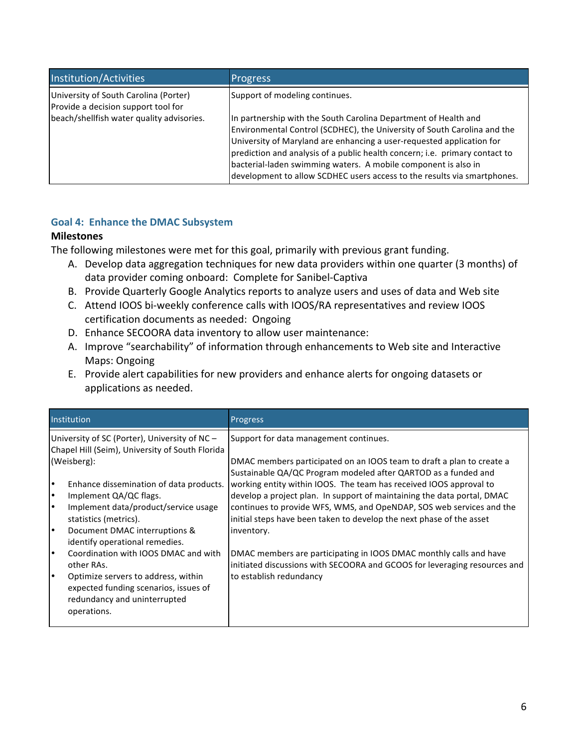| Institution/Activities                                                       | <b>Progress</b>                                                                                                                                                                                                                                                                                                                                                                                                                                   |
|------------------------------------------------------------------------------|---------------------------------------------------------------------------------------------------------------------------------------------------------------------------------------------------------------------------------------------------------------------------------------------------------------------------------------------------------------------------------------------------------------------------------------------------|
| University of South Carolina (Porter)<br>Provide a decision support tool for | Support of modeling continues.                                                                                                                                                                                                                                                                                                                                                                                                                    |
| beach/shellfish water quality advisories.                                    | In partnership with the South Carolina Department of Health and<br>Environmental Control (SCDHEC), the University of South Carolina and the<br>University of Maryland are enhancing a user-requested application for<br>prediction and analysis of a public health concern; i.e. primary contact to<br>bacterial-laden swimming waters. A mobile component is also in<br>development to allow SCDHEC users access to the results via smartphones. |

## Goal 4: Enhance the DMAC Subsystem

## **Milestones**

The following milestones were met for this goal, primarily with previous grant funding.

- A. Develop data aggregation techniques for new data providers within one quarter (3 months) of data provider coming onboard: Complete for Sanibel-Captiva
- B. Provide Quarterly Google Analytics reports to analyze users and uses of data and Web site
- C. Attend IOOS bi-weekly conference calls with IOOS/RA representatives and review IOOS certification documents as needed: Ongoing
- D. Enhance SECOORA data inventory to allow user maintenance:
- A. Improve "searchability" of information through enhancements to Web site and Interactive Maps: Ongoing
- E. Provide alert capabilities for new providers and enhance alerts for ongoing datasets or applications as needed.

|                                                                                                  | Institution                                                                                                                 | Progress                                                                                                                                        |
|--------------------------------------------------------------------------------------------------|-----------------------------------------------------------------------------------------------------------------------------|-------------------------------------------------------------------------------------------------------------------------------------------------|
| University of SC (Porter), University of NC -<br>Chapel Hill (Seim), University of South Florida |                                                                                                                             | Support for data management continues.                                                                                                          |
| (Weisberg):                                                                                      |                                                                                                                             | DMAC members participated on an IOOS team to draft a plan to create a<br>Sustainable QA/QC Program modeled after QARTOD as a funded and         |
| I۰                                                                                               | Enhance dissemination of data products.                                                                                     | working entity within IOOS. The team has received IOOS approval to                                                                              |
| $\bullet$                                                                                        | Implement QA/QC flags.                                                                                                      | develop a project plan. In support of maintaining the data portal, DMAC                                                                         |
| $\bullet$                                                                                        | Implement data/product/service usage<br>statistics (metrics).                                                               | continues to provide WFS, WMS, and OpeNDAP, SOS web services and the<br>initial steps have been taken to develop the next phase of the asset    |
| I۰                                                                                               | Document DMAC interruptions &<br>identify operational remedies.                                                             | inventory.                                                                                                                                      |
| $\bullet$                                                                                        | Coordination with IOOS DMAC and with<br>other RAs.                                                                          | DMAC members are participating in IOOS DMAC monthly calls and have<br>initiated discussions with SECOORA and GCOOS for leveraging resources and |
| I۰                                                                                               | Optimize servers to address, within<br>expected funding scenarios, issues of<br>redundancy and uninterrupted<br>operations. | to establish redundancy                                                                                                                         |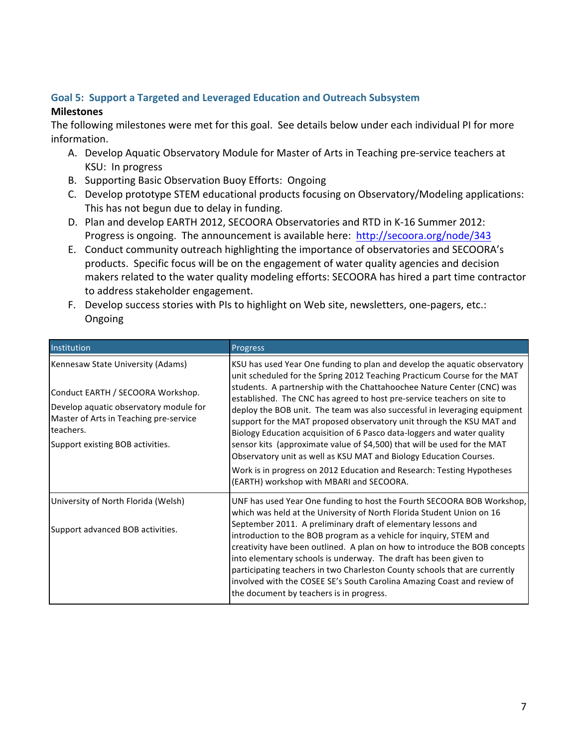## Goal 5: Support a Targeted and Leveraged Education and Outreach Subsystem

## **Milestones**

The following milestones were met for this goal. See details below under each individual PI for more information.

- A. Develop Aquatic Observatory Module for Master of Arts in Teaching pre-service teachers at KSU: In progress
- B. Supporting Basic Observation Buoy Efforts: Ongoing
- C. Develop prototype STEM educational products focusing on Observatory/Modeling applications: This has not begun due to delay in funding.
- D. Plan and develop EARTH 2012, SECOORA Observatories and RTD in K-16 Summer 2012: Progress is ongoing. The announcement is available here: http://secoora.org/node/343
- E. Conduct community outreach highlighting the importance of observatories and SECOORA's products. Specific focus will be on the engagement of water quality agencies and decision makers related to the water quality modeling efforts: SECOORA has hired a part time contractor to address stakeholder engagement.
- F. Develop success stories with PIs to highlight on Web site, newsletters, one-pagers, etc.: Ongoing

| Institution                                                                                                                                                                                                 | Progress                                                                                                                                                                                                                                                                                                                                                                                                                                                                                                                                                                                                                                                                                                                                                                                                            |
|-------------------------------------------------------------------------------------------------------------------------------------------------------------------------------------------------------------|---------------------------------------------------------------------------------------------------------------------------------------------------------------------------------------------------------------------------------------------------------------------------------------------------------------------------------------------------------------------------------------------------------------------------------------------------------------------------------------------------------------------------------------------------------------------------------------------------------------------------------------------------------------------------------------------------------------------------------------------------------------------------------------------------------------------|
| Kennesaw State University (Adams)<br>Conduct EARTH / SECOORA Workshop.<br>Develop aquatic observatory module for<br>Master of Arts in Teaching pre-service<br>teachers.<br>Support existing BOB activities. | KSU has used Year One funding to plan and develop the aquatic observatory<br>unit scheduled for the Spring 2012 Teaching Practicum Course for the MAT<br>students. A partnership with the Chattahoochee Nature Center (CNC) was<br>established. The CNC has agreed to host pre-service teachers on site to<br>deploy the BOB unit. The team was also successful in leveraging equipment<br>support for the MAT proposed observatory unit through the KSU MAT and<br>Biology Education acquisition of 6 Pasco data-loggers and water quality<br>sensor kits (approximate value of \$4,500) that will be used for the MAT<br>Observatory unit as well as KSU MAT and Biology Education Courses.<br>Work is in progress on 2012 Education and Research: Testing Hypotheses<br>(EARTH) workshop with MBARI and SECOORA. |
| University of North Florida (Welsh)<br>Support advanced BOB activities.                                                                                                                                     | UNF has used Year One funding to host the Fourth SECOORA BOB Workshop,<br>which was held at the University of North Florida Student Union on 16<br>September 2011. A preliminary draft of elementary lessons and<br>introduction to the BOB program as a vehicle for inquiry, STEM and<br>creativity have been outlined. A plan on how to introduce the BOB concepts<br>into elementary schools is underway. The draft has been given to<br>participating teachers in two Charleston County schools that are currently<br>involved with the COSEE SE's South Carolina Amazing Coast and review of<br>the document by teachers is in progress.                                                                                                                                                                       |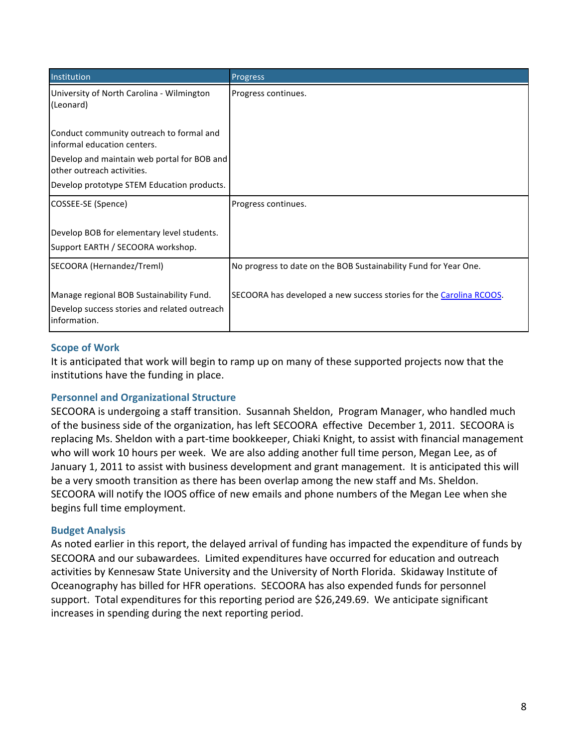| Institution                                                                                              | Progress                                                            |
|----------------------------------------------------------------------------------------------------------|---------------------------------------------------------------------|
| University of North Carolina - Wilmington<br>(Leonard)                                                   | Progress continues.                                                 |
| Conduct community outreach to formal and<br>informal education centers.                                  |                                                                     |
| Develop and maintain web portal for BOB and<br>other outreach activities.                                |                                                                     |
| Develop prototype STEM Education products.                                                               |                                                                     |
| COSSEE-SE (Spence)                                                                                       | Progress continues.                                                 |
| Develop BOB for elementary level students.<br>Support EARTH / SECOORA workshop.                          |                                                                     |
| SECOORA (Hernandez/Treml)                                                                                | No progress to date on the BOB Sustainability Fund for Year One.    |
| Manage regional BOB Sustainability Fund.<br>Develop success stories and related outreach<br>information. | SECOORA has developed a new success stories for the Carolina RCOOS. |

## **Scope of Work**

It is anticipated that work will begin to ramp up on many of these supported projects now that the institutions have the funding in place.

## **Personnel and Organizational Structure**

SECOORA is undergoing a staff transition. Susannah Sheldon, Program Manager, who handled much of the business side of the organization, has left SECOORA effective December 1, 2011. SECOORA is replacing Ms. Sheldon with a part-time bookkeeper, Chiaki Knight, to assist with financial management who will work 10 hours per week. We are also adding another full time person, Megan Lee, as of January 1, 2011 to assist with business development and grant management. It is anticipated this will be a very smooth transition as there has been overlap among the new staff and Ms. Sheldon. SECOORA will notify the IOOS office of new emails and phone numbers of the Megan Lee when she begins full time employment.

## **Budget Analysis**

As noted earlier in this report, the delayed arrival of funding has impacted the expenditure of funds by SECOORA and our subawardees. Limited expenditures have occurred for education and outreach activities by Kennesaw State University and the University of North Florida. Skidaway Institute of Oceanography has billed for HFR operations. SECOORA has also expended funds for personnel support. Total expenditures for this reporting period are \$26,249.69. We anticipate significant increases in spending during the next reporting period.